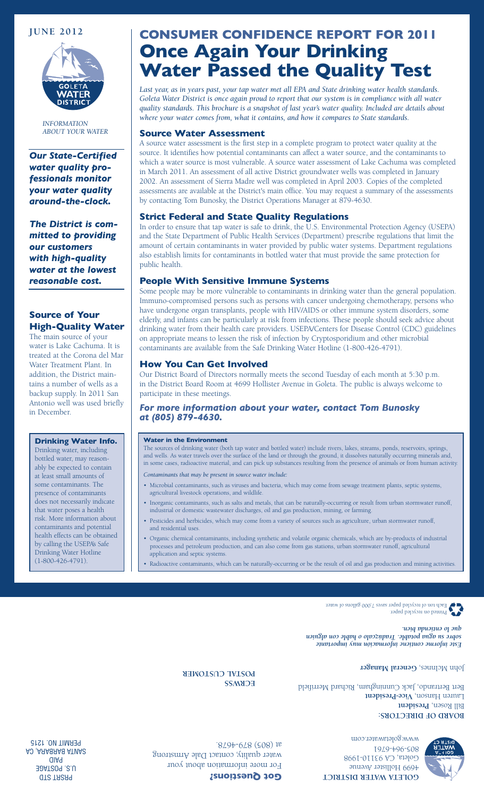

*INFORMATION ABOUT YOUR WATER*

*Our State-Certified water quality professionals monitor your water quality around-the-clock.*

*The District is committed to providing our customers with high-quality water at the lowest reasonable cost.*

# **Source of Your High-Quality Water**

The main source of your water is Lake Cachuma. It is treated at the Corona del Mar Water Treatment Plant. In addition, the District maintains a number of wells as a backup supply. In 2011 San Antonio well was used briefly in December.

#### **Drinking Water Info.**

Drinking water, including bottled water, may reasonably be expected to contain at least small amounts of some contaminants. The presence of contaminants does not necessarily indicate that water poses a health risk. More information about contaminants and potential health effects can be obtained by calling the USEPA's Safe Drinking Water Hotline (1-800-426-4791).

# **JUNE 2012 CONSUMER CONFIDENCE REPORT FOR 2011 Once Again Your Drinking Water Passed the Quality Test**

*Last year, as in years past, your tap water met all EPA and State drinking water health standards. Goleta Water District is once again proud to report that our system is in compliance with all water quality standards. This brochure is a snapshot of last year's water quality. Included are details about where your water comes from, what it contains, and how it compares to State standards.* 

#### **Source Water Assessment**

A source water assessment is the first step in a complete program to protect water quality at the source. It identifies how potential contaminants can affect a water source, and the contaminants to which a water source is most vulnerable. A source water assessment of Lake Cachuma was completed in March 2011. An assessment of all active District groundwater wells was completed in January 2002. An assessment of Sierra Madre well was completed in April 2003. Copies of the completed assessments are available at the District's main office. You may request a summary of the assessments by contacting Tom Bunosky, the District Operations Manager at 879-4630.

# **Strict Federal and State Quality Regulations**

In order to ensure that tap water is safe to drink, the U.S. Environmental Protection Agency (USEPA) and the State Department of Public Health Services (Department) prescribe regulations that limit the amount of certain contaminants in water provided by public water systems. Department regulations also establish limits for contaminants in bottled water that must provide the same protection for public health.

## **People With Sensitive Immune Systems**

Some people may be more vulnerable to contaminants in drinking water than the general population. Immuno-compromised persons such as persons with cancer undergoing chemotherapy, persons who have undergone organ transplants, people with HIV/AIDS or other immune system disorders, some elderly, and infants can be particularly at risk from infections. These people should seek advice about drinking water from their health care providers. USEPA/Centers for Disease Control (CDC) guidelines on appropriate means to lessen the risk of infection by Cryptosporidium and other microbial contaminants are available from the Safe Drinking Water Hotline (1-800-426-4791).

## **How You Can Get Involved**

Our District Board of Directors normally meets the second Tuesday of each month at 5:30 p.m. in the District Board Room at 4699 Hollister Avenue in Goleta. The public is always welcome to participate in these meetings.

## *For more information about your water, contact Tom Bunosky at (805) 879-4630.*

#### **Water in the Environment**

The sources of drinking water (both tap water and bottled water) include rivers, lakes, streams, ponds, reservoirs, springs, and wells. As water travels over the surface of the land or through the ground, it dissolves naturally occurring minerals and, in some cases, radioactive material, and can pick up substances resulting from the presence of animals or from human activity.

*Contaminants that may be present in source water include:*

- • Microbial contaminants, such as viruses and bacteria, which may come from sewage treatment plants, septic systems, agricultural livestock operations, and wildlife.
- • Inorganic contaminants, such as salts and metals, that can be naturally-occurring or result from urban stormwater runoff, industrial or domestic wastewater discharges, oil and gas production, mining, or farming.
- Pesticides and herbicides, which may come from a variety of sources such as agriculture, urban stormwater runoff, and residential uses.
- Organic chemical contaminants, including synthetic and volatile organic chemicals, which are by-products of industrial processes and petroleum production, and can also come from gas stations, urban stormwater runoff, agricultural application and septic systems.
- Radioactive contaminants, which can be naturally-occurring or be the result of oil and gas production and mining activities.

Printed on recycled paper. Each ton of recycled paper saves 7,000 gallons of water.

*Este informe contiene información muy importante sobre su agua potable. Tradúzcalo o hable con alguien que lo entienda bien.*

John McInnes, General Manager

**BOARD OF DIRECTORS: Bill Rosen, President** Lauren Hanson, Vice-President Bert Bertrando, Jack Cunningham, Richard Merrifield

**ECRWSS POSTAL CUSTOMER**



**GOLETA WATER DISTRICT** 4699 Hollister Avenue Goleta, CA 93110-1998 805-964-6761 www.goletawater.com

For more information about your water quality, contact Dale Armstrong at (805) 879-4678.

**Got Questions?**

PRSRT STD U.S. POSTAGE PAID SANTA BARBARA, CA PERMIT NO. 1215